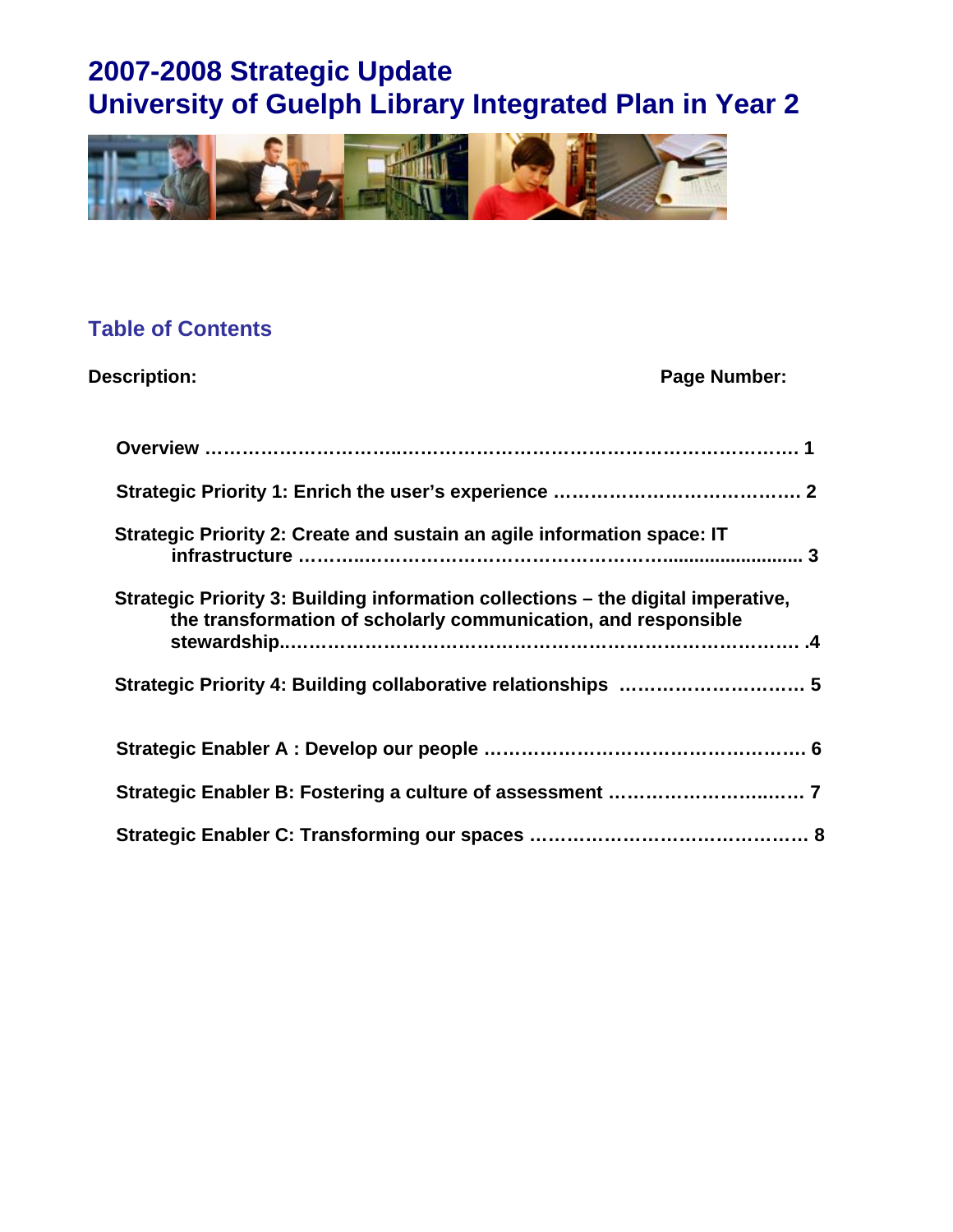

## **Table of Contents**

| <b>Description:</b>                                                                                                                                | Page Number: |
|----------------------------------------------------------------------------------------------------------------------------------------------------|--------------|
|                                                                                                                                                    |              |
|                                                                                                                                                    |              |
| Strategic Priority 2: Create and sustain an agile information space: IT                                                                            |              |
| Strategic Priority 3: Building information collections – the digital imperative,<br>the transformation of scholarly communication, and responsible |              |
|                                                                                                                                                    |              |
|                                                                                                                                                    |              |
|                                                                                                                                                    |              |
|                                                                                                                                                    |              |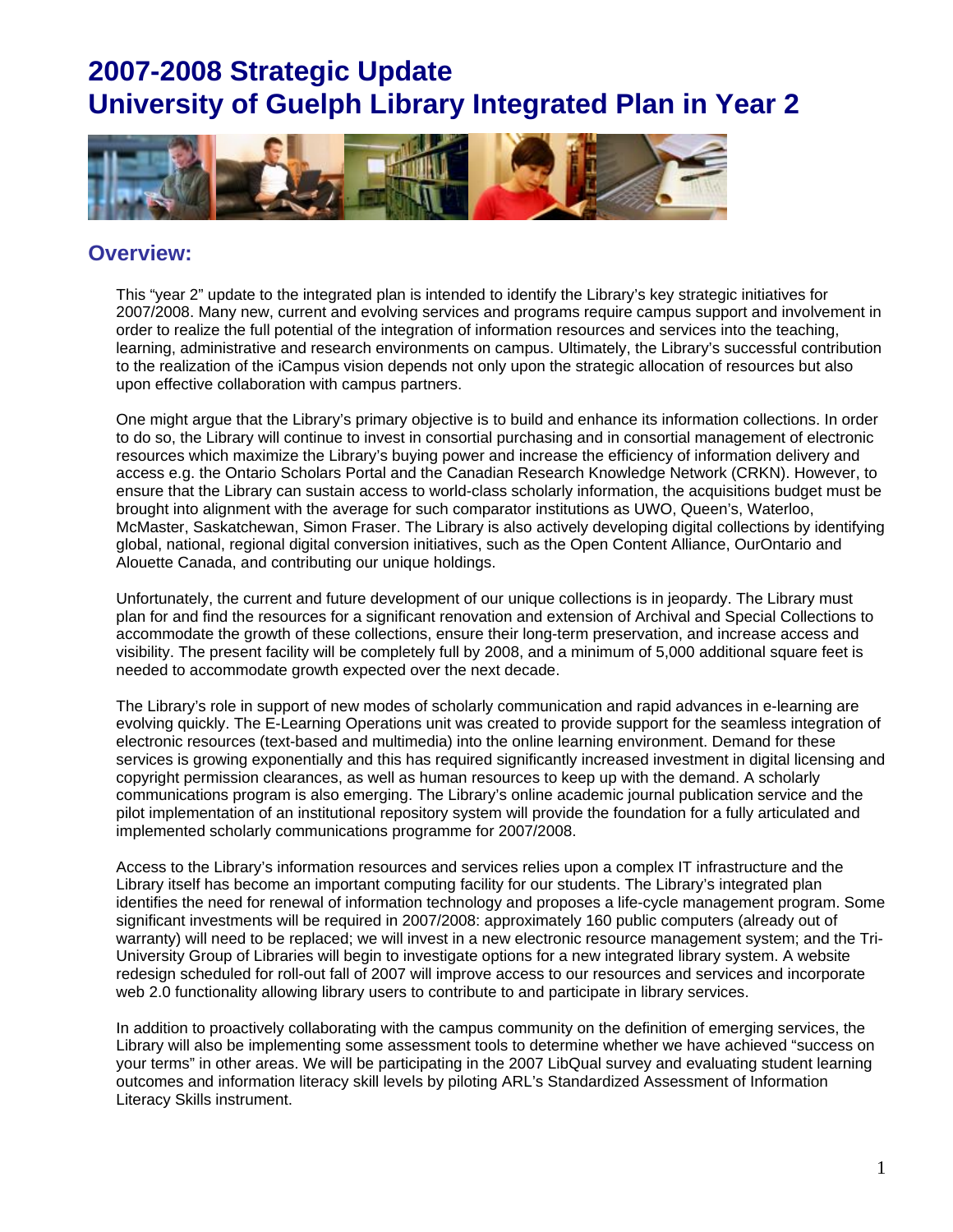

### **Overview:**

This "year 2" update to the integrated plan is intended to identify the Library's key strategic initiatives for 2007/2008. Many new, current and evolving services and programs require campus support and involvement in order to realize the full potential of the integration of information resources and services into the teaching, learning, administrative and research environments on campus. Ultimately, the Library's successful contribution to the realization of the iCampus vision depends not only upon the strategic allocation of resources but also upon effective collaboration with campus partners.

One might argue that the Library's primary objective is to build and enhance its information collections. In order to do so, the Library will continue to invest in consortial purchasing and in consortial management of electronic resources which maximize the Library's buying power and increase the efficiency of information delivery and access e.g. the Ontario Scholars Portal and the Canadian Research Knowledge Network (CRKN). However, to ensure that the Library can sustain access to world-class scholarly information, the acquisitions budget must be brought into alignment with the average for such comparator institutions as UWO, Queen's, Waterloo, McMaster, Saskatchewan, Simon Fraser. The Library is also actively developing digital collections by identifying global, national, regional digital conversion initiatives, such as the Open Content Alliance, OurOntario and Alouette Canada, and contributing our unique holdings.

Unfortunately, the current and future development of our unique collections is in jeopardy. The Library must plan for and find the resources for a significant renovation and extension of Archival and Special Collections to accommodate the growth of these collections, ensure their long-term preservation, and increase access and visibility. The present facility will be completely full by 2008, and a minimum of 5,000 additional square feet is needed to accommodate growth expected over the next decade.

The Library's role in support of new modes of scholarly communication and rapid advances in e-learning are evolving quickly. The E-Learning Operations unit was created to provide support for the seamless integration of electronic resources (text-based and multimedia) into the online learning environment. Demand for these services is growing exponentially and this has required significantly increased investment in digital licensing and copyright permission clearances, as well as human resources to keep up with the demand. A scholarly communications program is also emerging. The Library's online academic journal publication service and the pilot implementation of an institutional repository system will provide the foundation for a fully articulated and implemented scholarly communications programme for 2007/2008.

Access to the Library's information resources and services relies upon a complex IT infrastructure and the Library itself has become an important computing facility for our students. The Library's integrated plan identifies the need for renewal of information technology and proposes a life-cycle management program. Some significant investments will be required in 2007/2008: approximately 160 public computers (already out of warranty) will need to be replaced; we will invest in a new electronic resource management system; and the Tri-University Group of Libraries will begin to investigate options for a new integrated library system. A website redesign scheduled for roll-out fall of 2007 will improve access to our resources and services and incorporate web 2.0 functionality allowing library users to contribute to and participate in library services.

In addition to proactively collaborating with the campus community on the definition of emerging services, the Library will also be implementing some assessment tools to determine whether we have achieved "success on your terms" in other areas. We will be participating in the 2007 LibQual survey and evaluating student learning outcomes and information literacy skill levels by piloting ARL's Standardized Assessment of Information Literacy Skills instrument.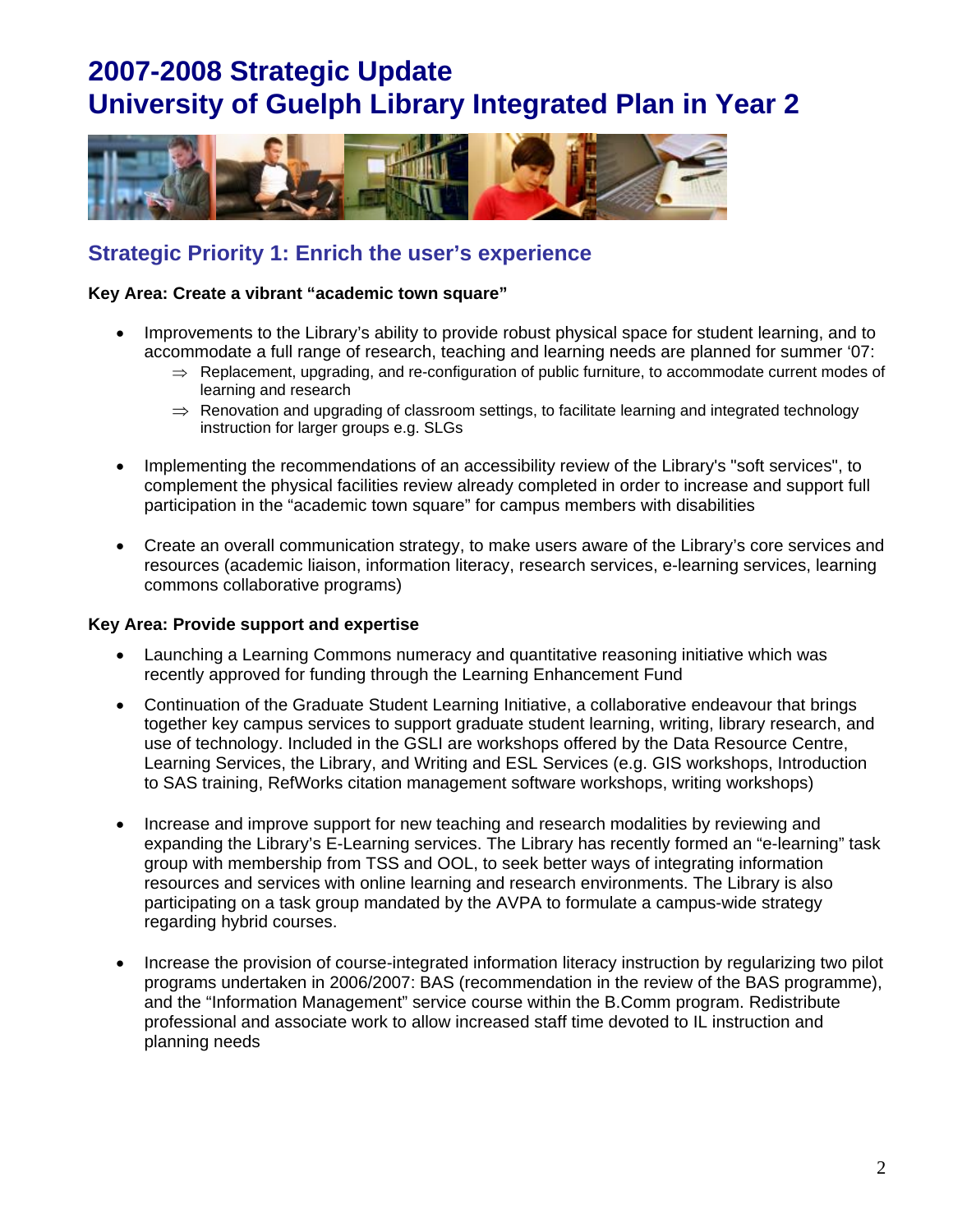

### **Strategic Priority 1: Enrich the user's experience**

#### **Key Area: Create a vibrant "academic town square"**

- Improvements to the Library's ability to provide robust physical space for student learning, and to accommodate a full range of research, teaching and learning needs are planned for summer '07:
	- $\Rightarrow$  Replacement, upgrading, and re-configuration of public furniture, to accommodate current modes of learning and research
	- $\Rightarrow$  Renovation and upgrading of classroom settings, to facilitate learning and integrated technology instruction for larger groups e.g. SLGs
- Implementing the recommendations of an accessibility review of the Library's "soft services", to complement the physical facilities review already completed in order to increase and support full participation in the "academic town square" for campus members with disabilities
- Create an overall communication strategy, to make users aware of the Library's core services and resources (academic liaison, information literacy, research services, e-learning services, learning commons collaborative programs)

#### **Key Area: Provide support and expertise**

- Launching a Learning Commons numeracy and quantitative reasoning initiative which was recently approved for funding through the Learning Enhancement Fund
- Continuation of the Graduate Student Learning Initiative, a collaborative endeavour that brings together key campus services to support graduate student learning, writing, library research, and use of technology. Included in the GSLI are workshops offered by the Data Resource Centre, Learning Services, the Library, and Writing and ESL Services (e.g. GIS workshops, Introduction to SAS training, RefWorks citation management software workshops, writing workshops)
- Increase and improve support for new teaching and research modalities by reviewing and expanding the Library's E-Learning services. The Library has recently formed an "e-learning" task group with membership from TSS and OOL, to seek better ways of integrating information resources and services with online learning and research environments. The Library is also participating on a task group mandated by the AVPA to formulate a campus-wide strategy regarding hybrid courses.
- Increase the provision of course-integrated information literacy instruction by regularizing two pilot programs undertaken in 2006/2007: BAS (recommendation in the review of the BAS programme), and the "Information Management" service course within the B.Comm program. Redistribute professional and associate work to allow increased staff time devoted to IL instruction and planning needs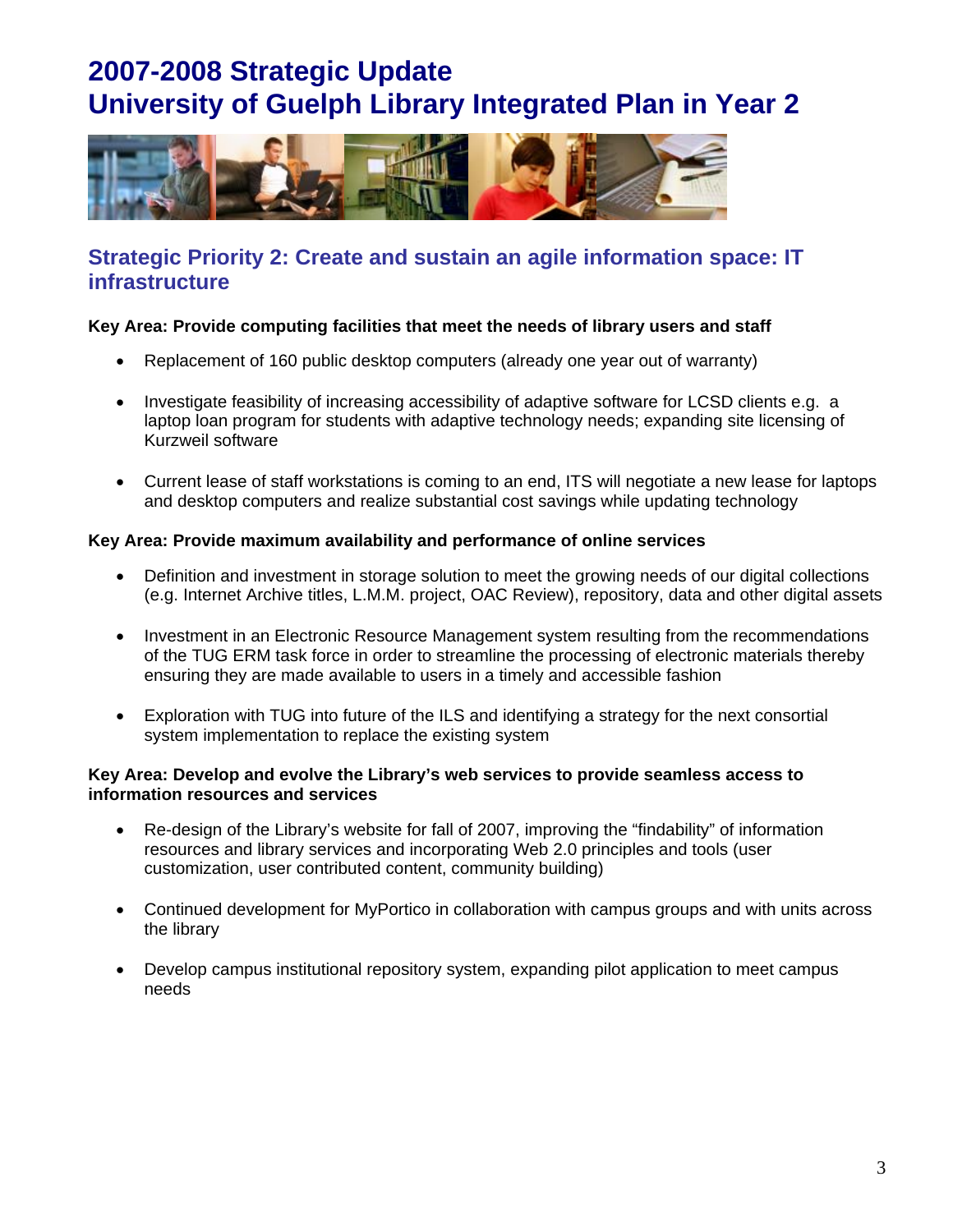

### **Strategic Priority 2: Create and sustain an agile information space: IT infrastructure**

### **Key Area: Provide computing facilities that meet the needs of library users and staff**

- Replacement of 160 public desktop computers (already one year out of warranty)
- Investigate feasibility of increasing accessibility of adaptive software for LCSD clients e.g. a laptop loan program for students with adaptive technology needs; expanding site licensing of Kurzweil software
- Current lease of staff workstations is coming to an end, ITS will negotiate a new lease for laptops and desktop computers and realize substantial cost savings while updating technology

### **Key Area: Provide maximum availability and performance of online services**

- Definition and investment in storage solution to meet the growing needs of our digital collections (e.g. Internet Archive titles, L.M.M. project, OAC Review), repository, data and other digital assets
- Investment in an Electronic Resource Management system resulting from the recommendations of the TUG ERM task force in order to streamline the processing of electronic materials thereby ensuring they are made available to users in a timely and accessible fashion
- Exploration with TUG into future of the ILS and identifying a strategy for the next consortial system implementation to replace the existing system

### **Key Area: Develop and evolve the Library's web services to provide seamless access to information resources and services**

- Re-design of the Library's website for fall of 2007, improving the "findability" of information resources and library services and incorporating Web 2.0 principles and tools (user customization, user contributed content, community building)
- Continued development for MyPortico in collaboration with campus groups and with units across the library
- Develop campus institutional repository system, expanding pilot application to meet campus needs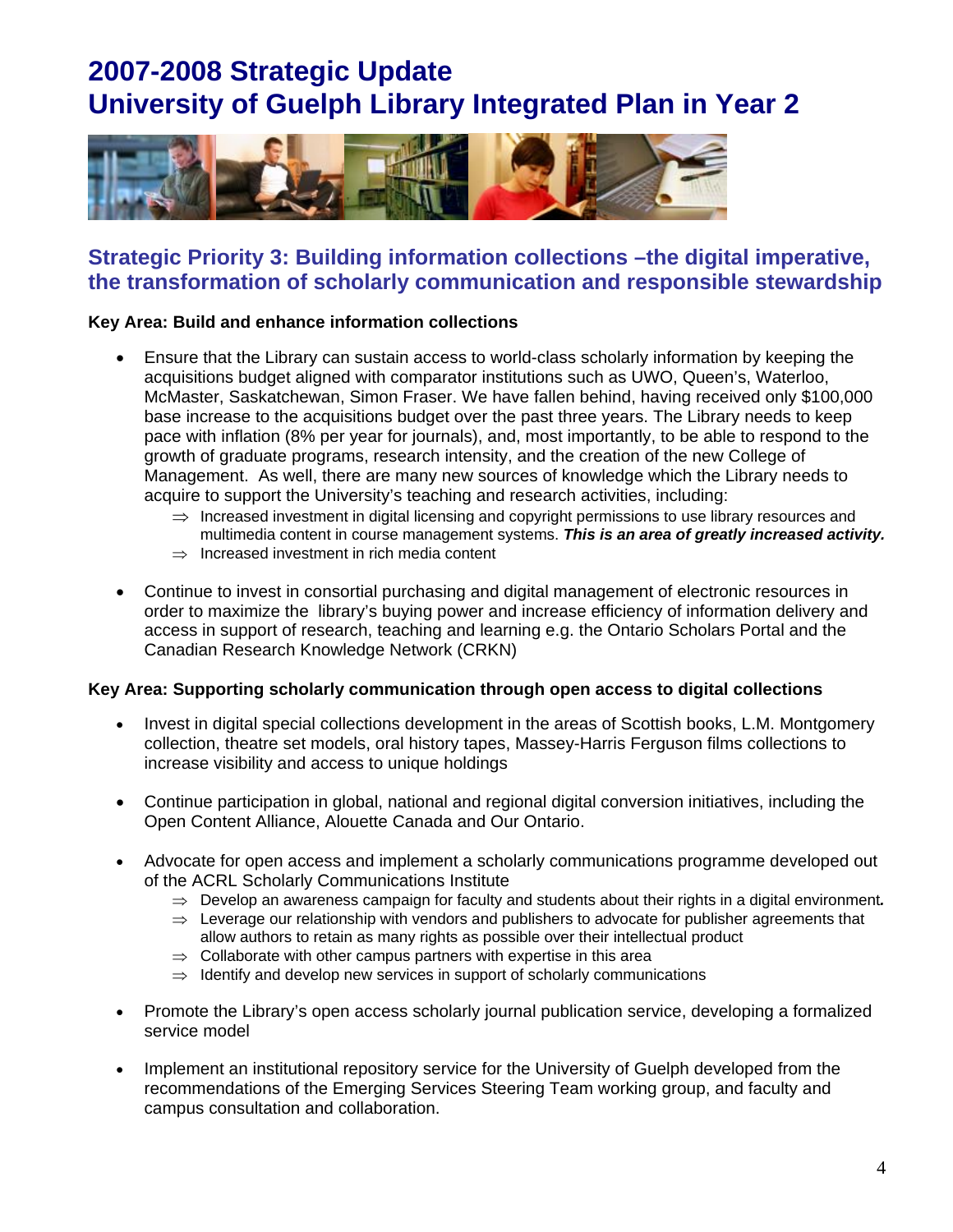

### **Strategic Priority 3: Building information collections –the digital imperative, the transformation of scholarly communication and responsible stewardship**

### **Key Area: Build and enhance information collections**

- Ensure that the Library can sustain access to world-class scholarly information by keeping the acquisitions budget aligned with comparator institutions such as UWO, Queen's, Waterloo, McMaster, Saskatchewan, Simon Fraser. We have fallen behind, having received only \$100,000 base increase to the acquisitions budget over the past three years. The Library needs to keep pace with inflation (8% per year for journals), and, most importantly, to be able to respond to the growth of graduate programs, research intensity, and the creation of the new College of Management. As well, there are many new sources of knowledge which the Library needs to acquire to support the University's teaching and research activities, including:
	- $\Rightarrow$  Increased investment in digital licensing and copyright permissions to use library resources and multimedia content in course management systems. *This is an area of greatly increased activity.*
	- $\Rightarrow$  Increased investment in rich media content
- Continue to invest in consortial purchasing and digital management of electronic resources in order to maximize the library's buying power and increase efficiency of information delivery and access in support of research, teaching and learning e.g. the Ontario Scholars Portal and the Canadian Research Knowledge Network (CRKN)

#### **Key Area: Supporting scholarly communication through open access to digital collections**

- Invest in digital special collections development in the areas of Scottish books, L.M. Montgomery collection, theatre set models, oral history tapes, Massey-Harris Ferguson films collections to increase visibility and access to unique holdings
- Continue participation in global, national and regional digital conversion initiatives, including the Open Content Alliance, Alouette Canada and Our Ontario.
- Advocate for open access and implement a scholarly communications programme developed out of the ACRL Scholarly Communications Institute
	- $\Rightarrow$  Develop an awareness campaign for faculty and students about their rights in a digital environment.
	- $\Rightarrow$  Leverage our relationship with vendors and publishers to advocate for publisher agreements that allow authors to retain as many rights as possible over their intellectual product
	- $\Rightarrow$  Collaborate with other campus partners with expertise in this area
	- $\Rightarrow$  Identify and develop new services in support of scholarly communications
- Promote the Library's open access scholarly journal publication service, developing a formalized service model
- Implement an institutional repository service for the University of Guelph developed from the recommendations of the Emerging Services Steering Team working group, and faculty and campus consultation and collaboration.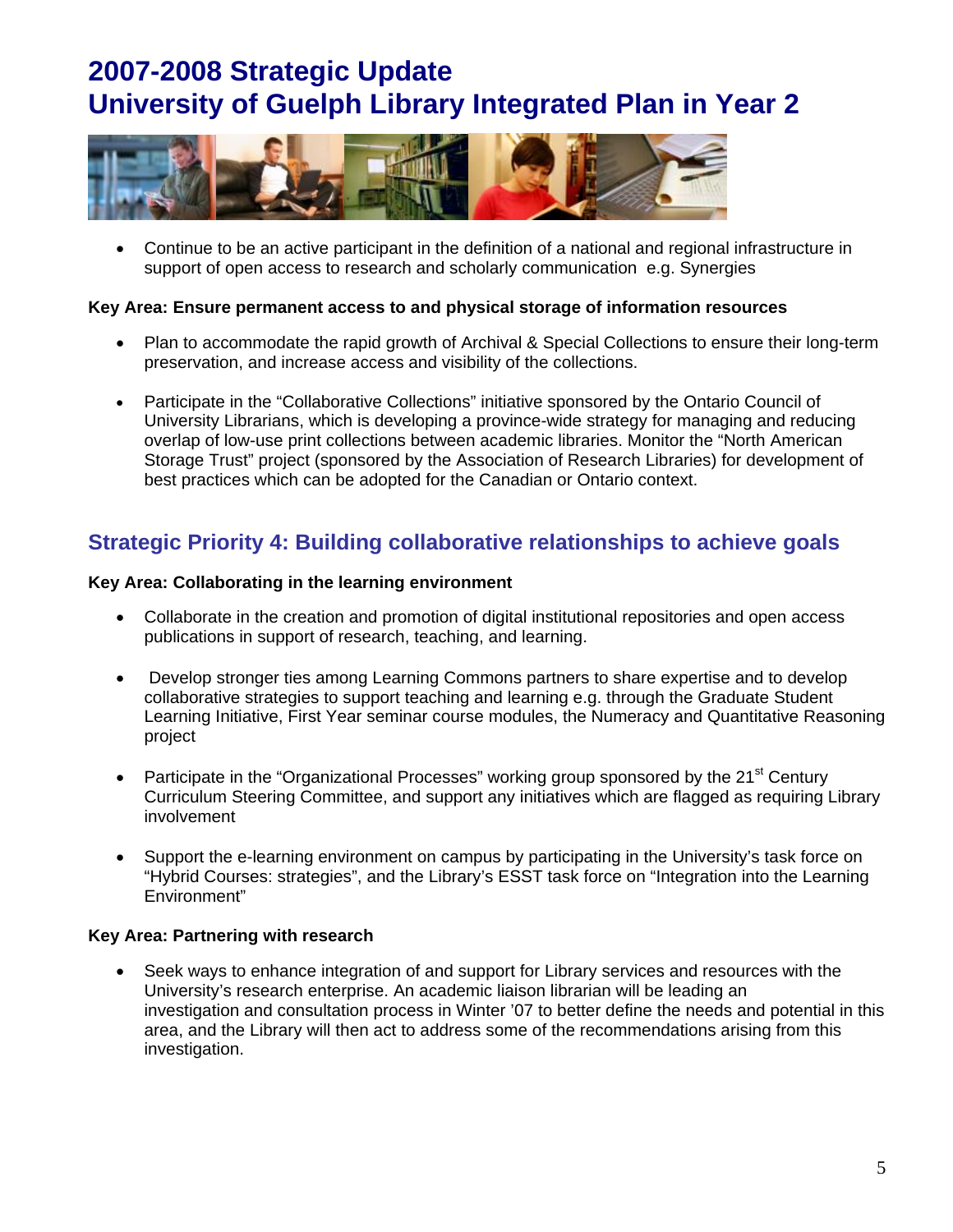

 Continue to be an active participant in the definition of a national and regional infrastructure in support of open access to research and scholarly communication e.g. Synergies

### **Key Area: Ensure permanent access to and physical storage of information resources**

- Plan to accommodate the rapid growth of Archival & Special Collections to ensure their long-term preservation, and increase access and visibility of the collections.
- Participate in the "Collaborative Collections" initiative sponsored by the Ontario Council of University Librarians, which is developing a province-wide strategy for managing and reducing overlap of low-use print collections between academic libraries. Monitor the "North American Storage Trust" project (sponsored by the Association of Research Libraries) for development of best practices which can be adopted for the Canadian or Ontario context.

## **Strategic Priority 4: Building collaborative relationships to achieve goals**

### **Key Area: Collaborating in the learning environment**

- Collaborate in the creation and promotion of digital institutional repositories and open access publications in support of research, teaching, and learning.
- Develop stronger ties among Learning Commons partners to share expertise and to develop collaborative strategies to support teaching and learning e.g. through the Graduate Student Learning Initiative, First Year seminar course modules, the Numeracy and Quantitative Reasoning project
- Participate in the "Organizational Processes" working group sponsored by the 21<sup>st</sup> Century Curriculum Steering Committee, and support any initiatives which are flagged as requiring Library involvement
- Support the e-learning environment on campus by participating in the University's task force on "Hybrid Courses: strategies", and the Library's ESST task force on "Integration into the Learning Environment"

### **Key Area: Partnering with research**

 Seek ways to enhance integration of and support for Library services and resources with the University's research enterprise. An academic liaison librarian will be leading an investigation and consultation process in Winter '07 to better define the needs and potential in this area, and the Library will then act to address some of the recommendations arising from this investigation.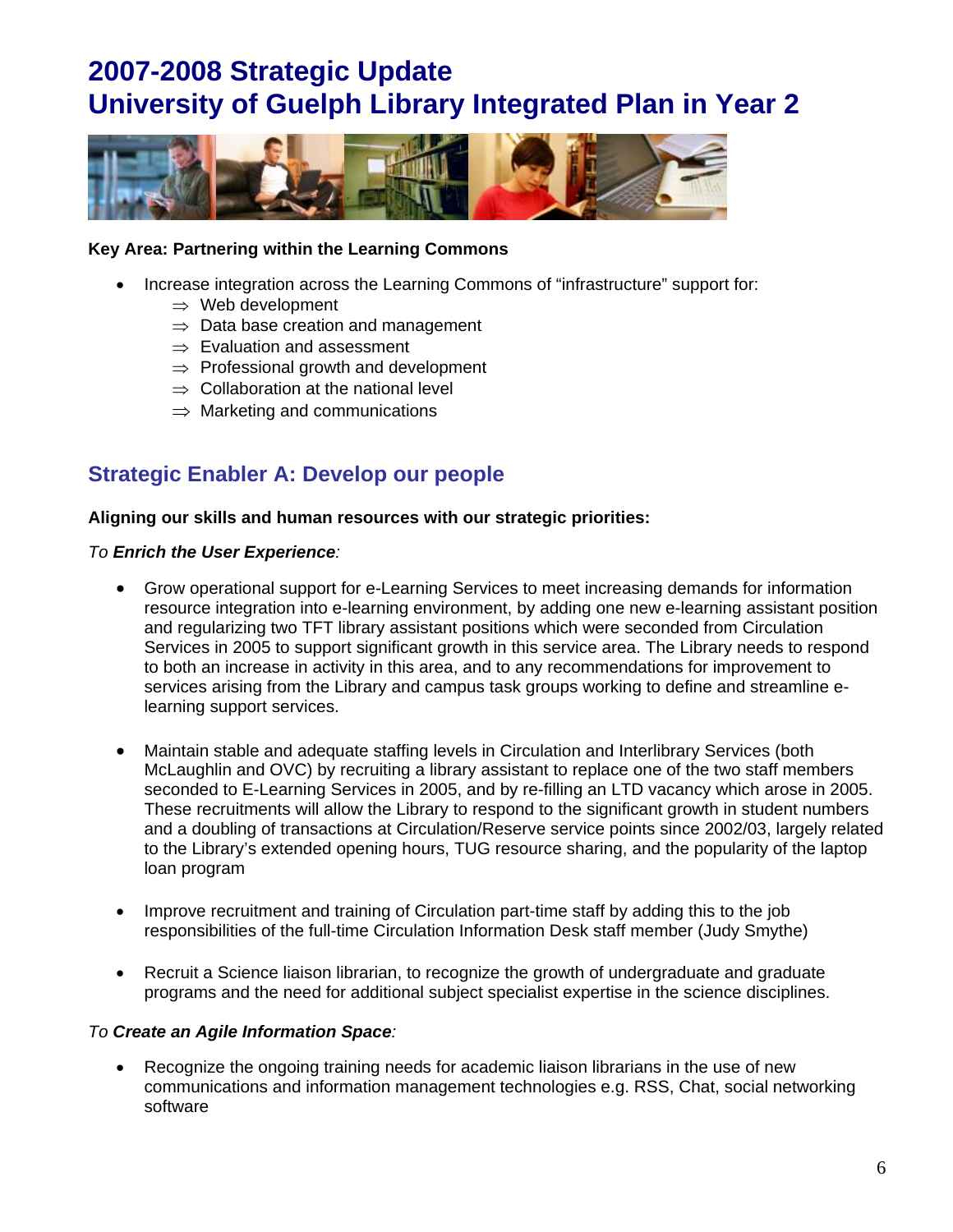

### **Key Area: Partnering within the Learning Commons**

- Increase integration across the Learning Commons of "infrastructure" support for:
	- $\Rightarrow$  Web development
	- $\Rightarrow$  Data base creation and management
	- $\Rightarrow$  Evaluation and assessment
	- $\Rightarrow$  Professional growth and development
	- $\Rightarrow$  Collaboration at the national level
	- $\Rightarrow$  Marketing and communications

## **Strategic Enabler A: Develop our people**

#### **Aligning our skills and human resources with our strategic priorities:**

#### *To Enrich the User Experience:*

- Grow operational support for e-Learning Services to meet increasing demands for information resource integration into e-learning environment, by adding one new e-learning assistant position and regularizing two TFT library assistant positions which were seconded from Circulation Services in 2005 to support significant growth in this service area. The Library needs to respond to both an increase in activity in this area, and to any recommendations for improvement to services arising from the Library and campus task groups working to define and streamline elearning support services.
- Maintain stable and adequate staffing levels in Circulation and Interlibrary Services (both McLaughlin and OVC) by recruiting a library assistant to replace one of the two staff members seconded to E-Learning Services in 2005, and by re-filling an LTD vacancy which arose in 2005. These recruitments will allow the Library to respond to the significant growth in student numbers and a doubling of transactions at Circulation/Reserve service points since 2002/03, largely related to the Library's extended opening hours, TUG resource sharing, and the popularity of the laptop loan program
- Improve recruitment and training of Circulation part-time staff by adding this to the job responsibilities of the full-time Circulation Information Desk staff member (Judy Smythe)
- Recruit a Science liaison librarian, to recognize the growth of undergraduate and graduate programs and the need for additional subject specialist expertise in the science disciplines.

#### *To Create an Agile Information Space:*

 Recognize the ongoing training needs for academic liaison librarians in the use of new communications and information management technologies e.g. RSS, Chat, social networking software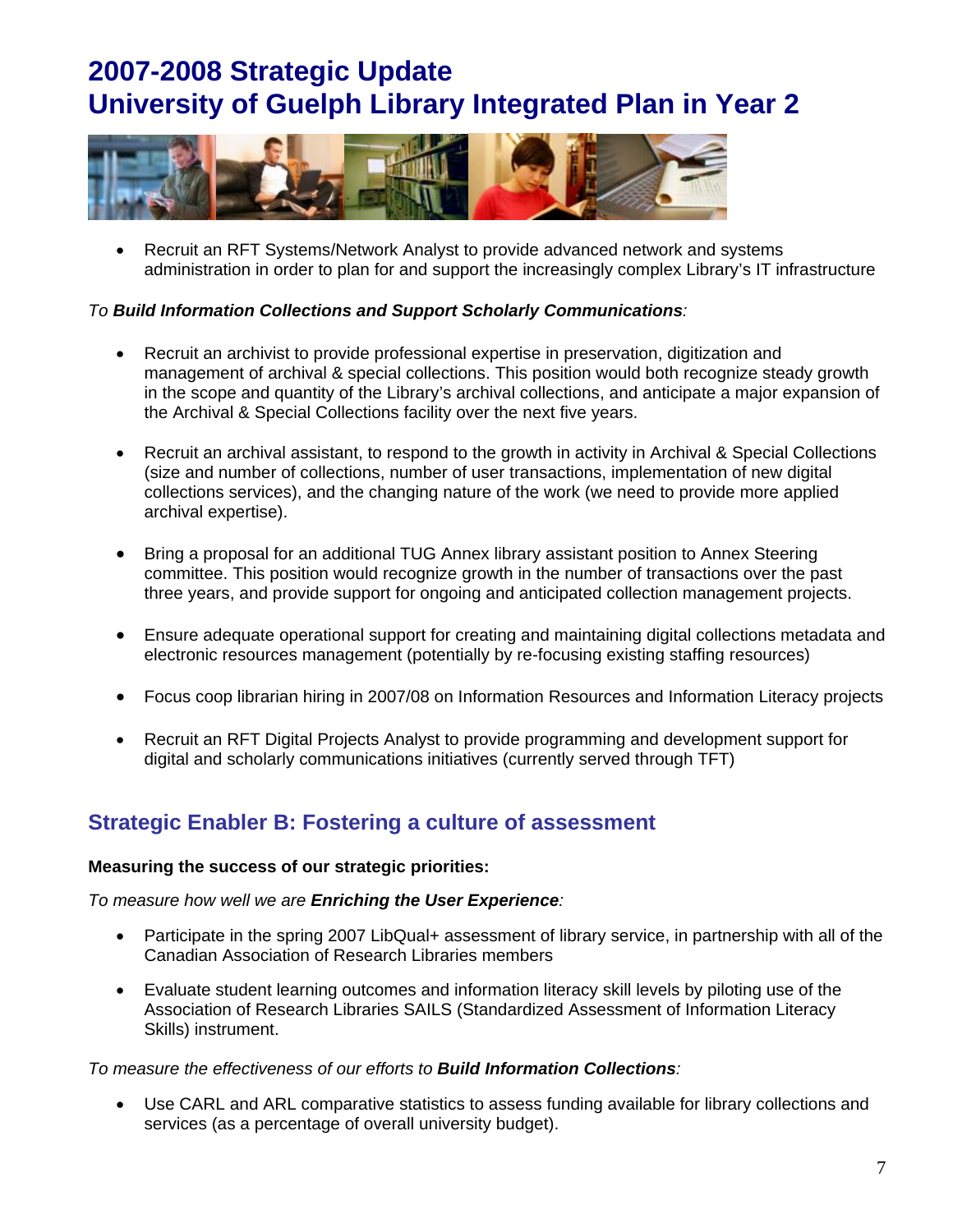

 Recruit an RFT Systems/Network Analyst to provide advanced network and systems administration in order to plan for and support the increasingly complex Library's IT infrastructure

### *To Build Information Collections and Support Scholarly Communications:*

- Recruit an archivist to provide professional expertise in preservation, digitization and management of archival & special collections. This position would both recognize steady growth in the scope and quantity of the Library's archival collections, and anticipate a major expansion of the Archival & Special Collections facility over the next five years.
- Recruit an archival assistant, to respond to the growth in activity in Archival & Special Collections (size and number of collections, number of user transactions, implementation of new digital collections services), and the changing nature of the work (we need to provide more applied archival expertise).
- Bring a proposal for an additional TUG Annex library assistant position to Annex Steering committee. This position would recognize growth in the number of transactions over the past three years, and provide support for ongoing and anticipated collection management projects.
- Ensure adequate operational support for creating and maintaining digital collections metadata and electronic resources management (potentially by re-focusing existing staffing resources)
- Focus coop librarian hiring in 2007/08 on Information Resources and Information Literacy projects
- Recruit an RFT Digital Projects Analyst to provide programming and development support for digital and scholarly communications initiatives (currently served through TFT)

## **Strategic Enabler B: Fostering a culture of assessment**

### **Measuring the success of our strategic priorities:**

*To measure how well we are Enriching the User Experience:*

- Participate in the spring 2007 LibQual+ assessment of library service, in partnership with all of the Canadian Association of Research Libraries members
- Evaluate student learning outcomes and information literacy skill levels by piloting use of the Association of Research Libraries SAILS (Standardized Assessment of Information Literacy Skills) instrument.

### *To measure the effectiveness of our efforts to Build Information Collections:*

 Use CARL and ARL comparative statistics to assess funding available for library collections and services (as a percentage of overall university budget).